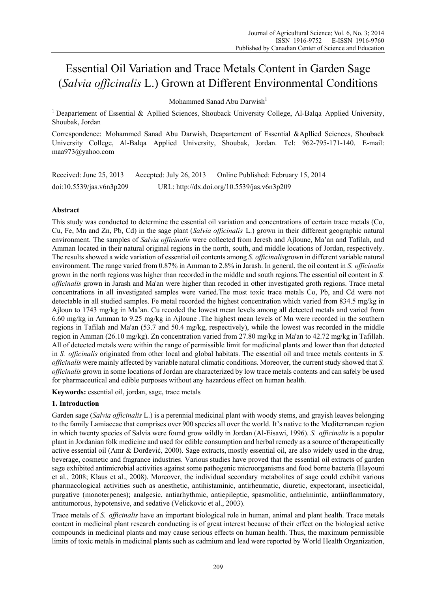# Essential Oil Variation and Trace Metals Content in Garden Sage (*Salvia officinalis* L.) Grown at Different Environmental Conditions

Mohammed Sanad Abu Darwish<sup>1</sup>

<sup>1</sup> Deapartement of Essential & Apllied Sciences, Shouback University College, Al-Balga Applied University, Shoubak, Jordan

Correspondence: Mohammed Sanad Abu Darwish, Deapartement of Essential &Apllied Sciences, Shouback University College, Al-Balqa Applied University, Shoubak, Jordan. Tel: 962-795-171-140. E-mail: maa973@yahoo.com

Received: June 25, 2013 Accepted: July 26, 2013 Online Published: February 15, 2014 doi:10.5539/jas.v6n3p209 URL: http://dx.doi.org/10.5539/jas.v6n3p209

# **Abstract**

This study was conducted to determine the essential oil variation and concentrations of certain trace metals (Co, Cu, Fe, Mn and Zn, Pb, Cd) in the sage plant (*Salvia officinalis* L.) grown in their different geographic natural environment. The samples of *Salvia officinalis* were collected from Jeresh and Ajloune, Ma'an and Tafilah, and Amman located in their natural original regions in the north, south, and middle locations of Jordan, respectively. The results showed a wide variation of essential oil contents among *S. officinalis*grown in different variable natural environment. The range varied from 0.87% in Amman to 2.8% in Jarash. In general, the oil content in *S. officinalis* grown in the north regions was higher than recorded in the middle and south regions.The essential oil content in *S. officinalis* grown in Jarash and Ma'an were higher than recoded in other investigated groth regions. Trace metal concentrations in all investigated samples were varied.The most toxic trace metals Co, Pb, and Cd were not detectable in all studied samples. Fe metal recorded the highest concentration which varied from 834.5 mg/kg in Ajloun to 1743 mg/kg in Ma'an. Cu recoded the lowest mean levels among all detected metals and varied from 6.60 mg/kg in Amman to 9.25 mg/kg in Ajloune .The highest mean levels of Mn were recorded in the southern regions in Tafilah and Ma'an (53.7 and 50.4 mg/kg, respectively), while the lowest was recorded in the middle region in Amman (26.10 mg/kg). Zn concentration varied from 27.80 mg/kg in Ma'an to 42.72 mg/kg in Tafillah. All of detected metals were within the range of permissible limit for medicinal plants and lower than that detected in *S. officinalis* originated from other local and global habitats. The essential oil and trace metals contents in *S. officinalis* were mainly affected by variable natural climatic conditions. Moreover, the current study showed that *S. officinalis* grown in some locations of Jordan are characterized by low trace metals contents and can safely be used for pharmaceutical and edible purposes without any hazardous effect on human health.

**Keywords:** essential oil, jordan, sage, trace metals

# **1. Introduction**

Garden sage (*Salvia officinalis* L.) is a perennial medicinal plant with woody stems, and grayish leaves belonging to the family Lamiaceae that comprises over 900 species all over the world. It's native to the Mediterranean region in which twenty species of Salvia were found grow wildly in Jordan (Al-Eisawi, 1996). *S. officinalis* is a popular plant in Jordanian folk medicine and used for edible consumption and herbal remedy as a source of therapeutically active essential oil (Amr & Đorđević, 2000). Sage extracts, mostly essential oil, are also widely used in the drug, beverage, cosmetic and fragrance industries. Various studies have proved that the essential oil extracts of garden sage exhibited antimicrobial activities against some pathogenic microorganisms and food borne bacteria (Hayouni et al., 2008; Klaus et al., 2008). Moreover, the individual secondary metabolites of sage could exhibit various pharmacological activities such as anesthetic, antihistaminic, antirheumatic, diuretic, expectorant, insecticidal, purgative (monoterpenes); analgesic, antiarhythmic, antiepileptic, spasmolitic, anthelmintic, antiinflammatory, antitumorous, hypotensive, and sedative (Velickovic et al., 2003).

Trace metals of *S. officinalis* have an important biological role in human, animal and plant health. Trace metals content in medicinal plant research conducting is of great interest because of their effect on the biological active compounds in medicinal plants and may cause serious effects on human health. Thus, the maximum permissible limits of toxic metals in medicinal plants such as cadmium and lead were reported by World Health Organization,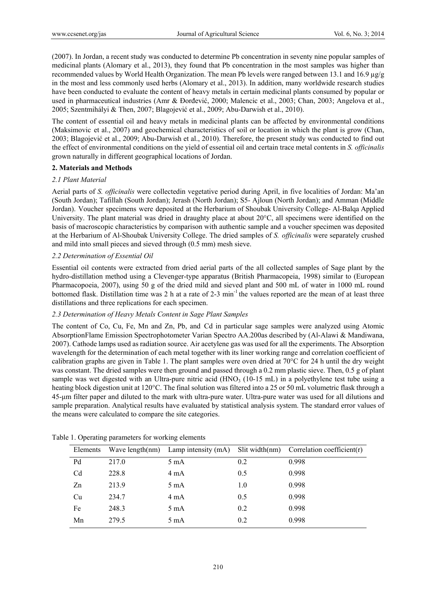(2007). In Jordan, a recent study was conducted to determine Pb concentration in seventy nine popular samples of medicinal plants (Alomary et al., 2013), they found that Pb concentration in the most samples was higher than recommended values by World Health Organization. The mean Pb levels were ranged between 13.1 and 16.9  $\mu$ g/g in the most and less commonly used herbs (Alomary et al., 2013). In addition, many worldwide research studies have been conducted to evaluate the content of heavy metals in certain medicinal plants consumed by popular or used in pharmaceutical industries (Amr & Đorđević, 2000; Malencic et al., 2003; Chan, 2003; Angelova et al., 2005; Szentmihályi & Then, 2007; Blagojević et al., 2009; Abu-Darwish et al., 2010).

The content of essential oil and heavy metals in medicinal plants can be affected by environmental conditions (Maksimovic et al., 2007) and geochemical characteristics of soil or location in which the plant is grow (Chan, 2003; Blagojević et al., 2009; Abu-Darwish et al., 2010). Therefore, the present study was conducted to find out the effect of environmental conditions on the yield of essential oil and certain trace metal contents in *S. officinalis* grown naturally in different geographical locations of Jordan.

### **2. Materials and Methods**

### *2.1 Plant Material*

Aerial parts of *S. officinalis* were collectedin vegetative period during April, in five localities of Jordan: Ma'an (South Jordan); Tafillah (South Jordan); Jerash (North Jordan); S5- Ajloun (North Jordan); and Amman (Middle Jordan). Voucher specimens were deposited at the Herbarium of Shoubak University College- Al-Balqa Applied University. The plant material was dried in draughty place at about 20°C, all specimens were identified on the basis of macroscopic characteristics by comparison with authentic sample and a voucher specimen was deposited at the Herbarium of Al-Shoubak University College. The dried samples of *S. officinalis* were separately crushed and mild into small pieces and sieved through (0.5 mm) mesh sieve.

### *2.2 Determination of Essential Oil*

Essential oil contents were extracted from dried aerial parts of the all collected samples of Sage plant by the hydro-distillation method using a Clevenger-type apparatus (British Pharmacopeia, 1998) similar to (European Pharmacopoeia, 2007), using 50 g of the dried mild and sieved plant and 500 mL of water in 1000 mL round bottomed flask. Distillation time was 2 h at a rate of 2-3 min-1 the values reported are the mean of at least three distillations and three replications for each specimen.

#### *2.3 Determination of Heavy Metals Content in Sage Plant Samples*

The content of Co, Cu, Fe, Mn and Zn, Pb, and Cd in particular sage samples were analyzed using Atomic AbsorptionFlame Emission Spectrophotometer Varian Spectro AA.200as described by (Al-Alawi & Mandiwana, 2007). Cathode lamps used as radiation source. Air acetylene gas was used for all the experiments. The Absorption wavelength for the determination of each metal together with its liner working range and correlation coefficient of calibration graphs are given in Table 1. The plant samples were oven dried at 70°C for 24 h until the dry weight was constant. The dried samples were then ground and passed through a 0.2 mm plastic sieve. Then, 0.5 g of plant sample was wet digested with an Ultra-pure nitric acid (HNO<sub>3</sub> (10-15 mL) in a polyethylene test tube using a heating block digestion unit at 120°C. The final solution was filtered into a 25 or 50 mL volumetric flask through a 45-μm filter paper and diluted to the mark with ultra-pure water. Ultra-pure water was used for all dilutions and sample preparation. Analytical results have evaluated by statistical analysis system. The standard error values of the means were calculated to compare the site categories.

| Elements       |       | Wave length $(nm)$ Lamp intensity $(mA)$ |     | Slit width $(nm)$ Correlation coefficient $(r)$ |
|----------------|-------|------------------------------------------|-----|-------------------------------------------------|
| Pd             | 217.0 | 5 mA                                     | 0.2 | 0.998                                           |
| C <sub>d</sub> | 228.8 | $4 \text{ mA}$                           | 0.5 | 0.998                                           |
| Zn             | 213.9 | 5 mA                                     | 1.0 | 0.998                                           |
| Cu             | 234.7 | $4 \text{ mA}$                           | 0.5 | 0.998                                           |
| Fe             | 248.3 | 5 mA                                     | 0.2 | 0.998                                           |
| Mn             | 279.5 | 5 mA                                     | 0.2 | 0.998                                           |

Table 1. Operating parameters for working elements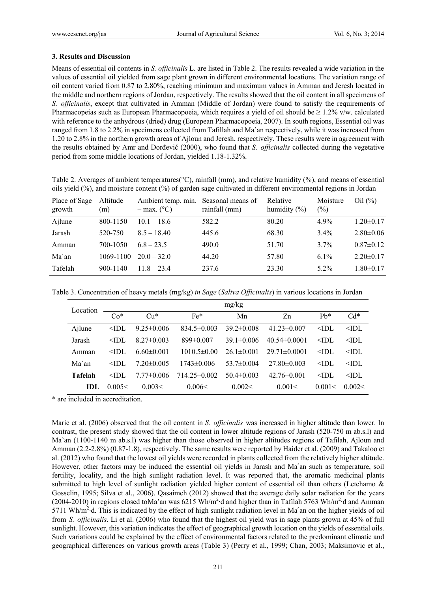### **3. Results and Discussion**

Means of essential oil contents in *S. officinalis* L. are listed in Table 2. The results revealed a wide variation in the values of essential oil yielded from sage plant grown in different environmental locations. The variation range of oil content varied from 0.87 to 2.80%, reaching minimum and maximum values in Amman and Jeresh located in the middle and northern regions of Jordan, respectively. The results showed that the oil content in all specimens of *S. officinalis*, except that cultivated in Amman (Middle of Jordan) were found to satisfy the requirements of Pharmacopeias such as European Pharmacopoeia, which requires a yield of oil should be  $\geq 1.2\%$  v/w. calculated with reference to the anhydrous (dried) drug (European Pharmacopoeia, 2007). In south regions, Essential oil was ranged from 1.8 to 2.2% in specimens collected from Tafillah and Ma'an respectively, while it was increased from 1.20 to 2.8% in the northern growth areas of Ajloun and Jeresh, respectively. These results were in agreement with the results obtained by Amr and Đorđević (2000), who found that *S. officinalis* collected during the vegetative period from some middle locations of Jordan, yielded 1.18-1.32%.

Table 2. Averages of ambient temperatures(°C), rainfall (mm), and relative humidity (%), and means of essential oils yield (%), and moisture content (%) of garden sage cultivated in different environmental regions in Jordan

| Place of Sage<br>growth | Altitude<br>(m) | Ambient temp. min.<br>$-$ max. ( $^{\circ}$ C) | Seasonal means of<br>rainfall (mm) | Relative<br>humidity $(\% )$ | Moisture<br>(%) | $\text{Oil} (\% )$ |
|-------------------------|-----------------|------------------------------------------------|------------------------------------|------------------------------|-----------------|--------------------|
| Ajlune                  | 800-1150        | $10.1 - 18.6$                                  | 582.2                              | 80.20                        | 4.9%            | $1.20 \pm 0.17$    |
| Jarash                  | 520-750         | $8.5 - 18.40$                                  | 445.6                              | 68.30                        | $3.4\%$         | $2.80\pm0.06$      |
| Amman                   | 700-1050        | $6.8 - 23.5$                                   | 490.0                              | 51.70                        | $3.7\%$         | $0.87 \pm 0.12$    |
| Ma`an                   | 1069-1100       | $20.0 - 32.0$                                  | 44.20                              | 57.80                        | $6.1\%$         | $2.20 \pm 0.17$    |
| Tafelah                 | $900 - 1140$    | $11.8 - 23.4$                                  | 237.6                              | 23.30                        | $5.2\%$         | $1.80 \pm 0.17$    |

Table 3. Concentration of heavy metals (mg/kg) *in Sage* (*Saliva Officinalis*) in various locations in Jordan

| Location | mg/kg               |                  |                  |                  |                    |                     |                     |
|----------|---------------------|------------------|------------------|------------------|--------------------|---------------------|---------------------|
|          | $Co*$               | $Cu*$            | $Fe*$            | Mn               | Zn                 | $Ph*$               | $Cd*$               |
| Ailune   | $\triangleleft$ IDL | $9.25 \pm 0.006$ | $834.5\pm0.003$  | $39.2 \pm 0.008$ | $41.23 \pm 0.007$  | $<$ IDL             | $\triangleleft$ IDL |
| Jarash   | $\triangleleft$ IDL | $827\pm0.003$    | $899 \pm 0.007$  | $39.1 \pm 0.006$ | $40.54\pm0.0001$   | $<$ IDL             | $\triangleleft$ IDL |
| Amman    | $<$ IDL             | $660\pm0.001$    | $1010.5\pm0.00$  | $261 \pm 0.001$  | $29.71 \pm 0.0001$ | $<$ IDL             | $\triangle$ IDL     |
| Ma`an    | $\triangleleft$ IDL | $7.20 \pm 0.005$ | 1743±0 006       | $53.7\pm 0.004$  | $27.80\pm0.003$    | $\triangleleft$ IDL | $\triangleleft$ IDL |
| Tafelah  | $\triangle$ IDL     | 7 77±0 006       | $714.25\pm0.002$ | $50.4 \pm 0.003$ | $42.76\pm0.001$    | $<$ IDL             | $\triangle$ IDL     |
| IDL.     | 0.005<              | 0.003<           | 0.006<           | 0.002<           | 0.001<             | 0.001<              | 0.002<              |

\* are included in accreditation.

Maric et al. (2006) observed that the oil content in *S. officinalis* was increased in higher altitude than lower. In contrast, the present study showed that the oil content in lower altitude regions of Jarash (520-750 m ab.s.l) and Ma'an (1100-1140 m ab.s.l) was higher than those observed in higher altitudes regions of Tafilah, Ajloun and Amman (2.2-2.8%) (0.87-1.8), respectively. The same results were reported by Haider et al. (2009) and Takaloo et al. (2012) who found that the lowest oil yields were recorded in plants collected from the relatively higher altitude. However, other factors may be induced the essential oil yields in Jarash and Ma´an such as temperature, soil fertility, locality, and the high sunlight radiation level. It was reported that, the aromatic medicinal plants submitted to high level of sunlight radiation yielded higher content of essential oil than others (Letchamo & Gosselin, 1995; Silva et al., 2006). Qasaimeh (2012) showed that the average daily solar radiation for the years (2004-2010) in regions closed toMa'an was  $6215 \text{ Wh/m}^2$  d and higher than in Tafilah 5763 Wh/m<sup>2</sup> d and Amman 5711 Wh/ $m^2$  d. This is indicated by the effect of high sunlight radiation level in Ma'an on the higher yields of oil from *S. officinalis*. Li et al. (2006) who found that the highest oil yield was in sage plants grown at 45% of full sunlight. However, this variation indicates the effect of geographical growth location on the yields of essential oils. Such variations could be explained by the effect of environmental factors related to the predominant climatic and geographical differences on various growth areas (Table 3) (Perry et al., 1999; Chan, 2003; Maksimovic et al.,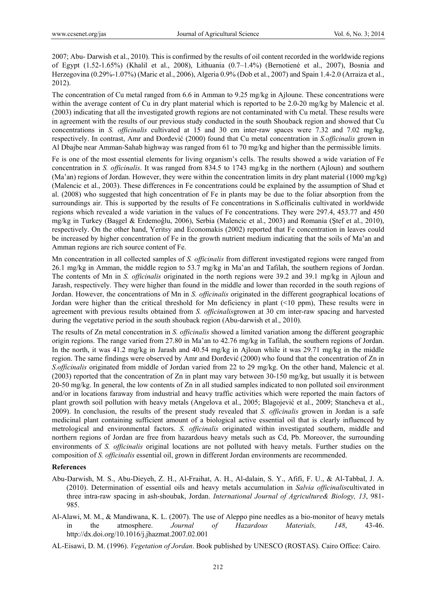2007; Abu- Darwish et al., 2010). This is confirmed by the results of oil content recorded in the worldwide regions of Egypt (1.52-1.65%) (Khalil et al., 2008), Lithuania (0.7–1.4%) (Bernotienė et al., 2007), Bosnia and Herzegovina (0.29%-1.07%) (Maric et al., 2006), Algeria 0.9% (Dob et al., 2007) and Spain 1.4-2.0 (Arraiza et al., 2012).

The concentration of Cu metal ranged from 6.6 in Amman to 9.25 mg/kg in Ajloune. These concentrations were within the average content of Cu in dry plant material which is reported to be 2.0-20 mg/kg by Malencic et al. (2003) indicating that all the investigated growth regions are not contaminated with Cu metal. These results were in agreement with the results of our previous study conducted in the south Shouback region and showed that Cu concentrations in *S. officinalis* cultivated at 15 and 30 cm inter-raw spaces were 7.32 and 7.02 mg/kg, respectively. In contrast, Amr and Đorđević (2000) found that Cu metal concentration in *S.officinalis* grown in Al Dbajbe near Amman-Sahab highway was ranged from 61 to 70 mg/kg and higher than the permissible limits.

Fe is one of the most essential elements for living organism's cells. The results showed a wide variation of Fe concentration in *S. officinalis*. It was ranged from 834.5 to 1743 mg/kg in the northern (Ajloun) and southern (Ma'an) regions of Jordan. However, they were within the concentration limits in dry plant material (1000 mg/kg) (Malencic et al., 2003). These differences in Fe concentrations could be explained by the assumption of Shad et al. (2008) who suggested that high concentration of Fe in plants may be due to the foliar absorption from the surroundings air. This is supported by the results of Fe concentrations in S.officinalis cultivated in worldwide regions which revealed a wide variation in the values of Fe concentrations. They were 297.4, 453.77 and 450 mg/kg in Turkey (Başgel & Erdemoğlu, 2006), Serbia (Malencic et al., 2003) and Romania (Ştef et al., 2010), respectively. On the other hand, Yeritsy and Economakis (2002) reported that Fe concentration in leaves could be increased by higher concentration of Fe in the growth nutrient medium indicating that the soils of Ma'an and Amman regions are rich source content of Fe.

Mn concentration in all collected samples of *S. officinalis* from different investigated regions were ranged from 26.1 mg/kg in Amman, the middle region to 53.7 mg/kg in Ma'an and Tafilah, the southern regions of Jordan. The contents of Mn in *S. officinalis* originated in the north regions were 39.2 and 39.1 mg/kg in Ajloun and Jarash, respectively. They were higher than found in the middle and lower than recorded in the south regions of Jordan. However, the concentrations of Mn in *S. officinalis* originated in the different geographical locations of Jordan were higher than the critical threshold for Mn deficiency in plant (<10 ppm), These results were in agreement with previous results obtained from *S. officinalis*growen at 30 cm inter-raw spacing and harvested during the vegetative period in the south shouback region (Abu-darwish et al., 2010).

The results of Zn metal concentration in *S. officinalis* showed a limited variation among the different geographic origin regions. The range varied from 27.80 in Ma'an to 42.76 mg/kg in Tafilah, the southern regions of Jordan. In the north, it was 41.2 mg/kg in Jarash and 40.54 mg/kg in Ajloun while it was 29.71 mg/kg in the middle region. The same findings were observed by Amr and Đorđević (2000) who found that the concentration of Zn in *S.officinalis* originated from middle of Jordan varied from 22 to 29 mg/kg. On the other hand, Malencic et al. (2003) reported that the concentration of Zn in plant may vary between 30-150 mg/kg, but usually it is between 20-50 mg/kg. In general, the low contents of Zn in all studied samples indicated to non polluted soil environment and/or in locations faraway from industrial and heavy traffic activities which were reported the main factors of plant growth soil pollution with heavy metals (Angelova et al., 2005; Blagojević et al., 2009; Stancheva et al., 2009). In conclusion, the results of the present study revealed that *S. officinalis* growen in Jordan is a safe medicinal plant containing sufficient amount of a biological active essential oil that is clearly influenced by metrological and environmental factors. *S. officinalis* originated within investigated southern, middle and northern regions of Jordan are free from hazardous heavy metals such as Cd, Pb. Moreover, the surrounding environments of *S. officinalis* original locations are not polluted with heavy metals. Further studies on the composition of *S. officinalis* essential oil, grown in different Jordan environments are recommended.

#### **References**

- Abu-Darwish, M. S., Abu-Dieyeh, Z. H., Al-Fraihat, A. H., Al-dalain, S. Y., Afifi, F. U., & Al-Tabbal, J. A. (2010). Determination of essential oils and heavy metals accumulation in *Salvia officinalis*cultivated in three intra-raw spacing in ash-shoubak, Jordan. *International Journal of Agriculture& Biology, 13*, 981- 985.
- Al-Alawi, M. M., & Mandiwana, K. L. (2007). The use of Aleppo pine needles as a bio-monitor of heavy metals in the atmosphere. *Journal of Hazardous Materials, 148*, 43-46. http://dx.doi.org/10.1016/j.jhazmat.2007.02.001
- AL-Eisawi, D. M. (1996). *Vegetation of Jordan*. Book published by UNESCO (ROSTAS). Cairo Office: Cairo.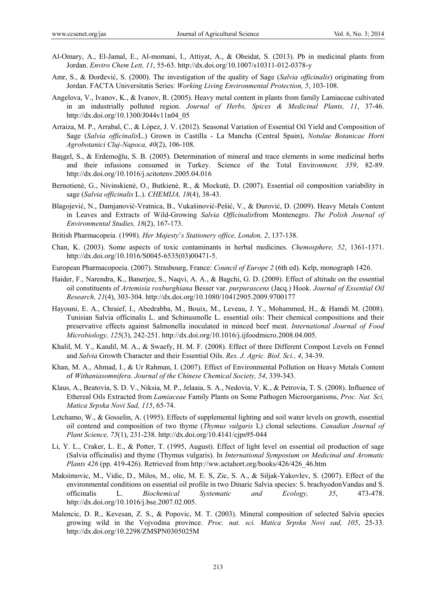- Al-Omary, A., El-Jamal, E., Al-momani, I., Attiyat, A., & Obeidat, S. (2013). Pb in medicinal plants from Jordan. *Enviro Chem Lett, 11*, 55-63. http://dx.doi.org/10.1007/s10311-012-0378-y
- Amr, S., & Đorđević, S. (2000). The investigation of the quality of Sage (*Salvia officinalis*) originating from Jordan. FACTA Universitatis Series: *Working Living Environmental Protection, 5*, 103-108.
- Angelova, V., Ivanov, K., & Ivanov, R. (2005). Heavy metal content in plants from family Lamiaceae cultivated in an industrially polluted region. *Journal of Herbs, Spices & Medicinal Plants, 11*, 37-46. http://dx.doi.org/10.1300/J044v11n04\_05
- Arraiza, M. P., Arrabal, C., & López, J. V. (2012). Seasonal Variation of Essential Oil Yield and Composition of Sage (*Salvia officinalis*L.) Grown in Castilla - La Mancha (Central Spain), *Notulae Botanicae Horti Agrobotanici Cluj-Napoca, 40*(2), 106-108.
- Başgel, S., & Erdemoğlu, S. B. (2005). Determination of mineral and trace elements in some medicinal herbs and their infusions consumed in Turkey. Science of the Total Envir*onment, 359*, 82-89. http://dx.doi.org/10.1016/j.scitotenv.2005.04.016
- Bernotienė, G., Nivinskienė, O., Butkienė, R., & Mockutė, D. (2007). Essential oil composition variability in sage (*Salvia officinalis* L.). *CHEMIJA, 18*(4), 38-43.
- Blagojević, N., Damjanović-Vratnica, B., Vukašinović-Pešić, V., & Đurović, D. (2009). Heavy Metals Content in Leaves and Extracts of Wild-Growing *Salvia Officinalis*from Montenegro. *The Polish Journal of Environmental Studies, 18*(2), 167-173.
- British Pharmacopeia. (1998). *Her Majesty*'*s Stationery office, London, 2*, 137-138.
- Chan, K. (2003). Some aspects of toxic contaminants in herbal medicines. *Chemosphere, 52*, 1361-1371. http://dx.doi.org/10.1016/S0045-6535(03)00471-5.
- European Pharmacopoeia. (2007). Strasbourg, France: *Council of Europe 2* (6th ed). Kelp, monograph 1426.
- Haider, F., Narendra, K., Banerjee, S., Naqvi, A. A., & Bagchi, G. D. (2009). Effect of altitude on the essential oil constituents of *Artemisia roxburghiana* Besser var. *purpurascens* (Jacq.) Hook. *Journal of Essential Oil Research, 21*(4), 303-304. http://dx.doi.org/10.1080/10412905.2009.9700177
- Hayouni, E. A., Chraief, I., Abedrabba, M., Bouix, M., Leveau, J. Y., Mohammed, H., & Hamdi M. (2008). Tunisian Salvia officinalis L. and Schinusmolle L. essential oils: Their chemical compositions and their preservative effects against Salmonella inoculated in minced beef meat. *International Journal of Food Microbiology, 125*(3), 242-251. http://dx.doi.org/10.1016/j.ijfoodmicro.2008.04.005.
- Khalil, M. Y., Kandil, M. A., & Swaefy, H. M. F. (2008). Effect of three Different Compost Levels on Fennel and *Salvia* Growth Character and their Essential Oils. *Res. J. Agric. Biol. Sci., 4*, 34-39.
- Khan, M. A., Ahmad, I., & Ur Rahman, I. (2007). Effect of Environmental Pollution on Heavy Metals Content of *Withaniasomnifera. Journal of the Chinese Chemical Society, 54*, 339-343*.*
- Klaus, A., Beatovia, S. D. V., Niksia, M. P., Jelaaia, S. A., Nedovia, V. K., & Petrovia, T. S. (2008). Influence of Ethereal Oils Extracted from *Lamiaceae* Family Plants on Some Pathogen Microorganisms, *Proc. Nat. Sci, Matica Srpska Novi Sad, 115*, 65-74.
- Letchamo, W., & Gosselin, A. (1995). Effects of supplemental lighting and soil water levels on growth, essential oil contend and composition of two thyme (*Thymus vulgaris* L) clonal selections. *Canadian Journal of Plant Science, 75*(1), 231-238. http://dx.doi.org/10.4141/cjps95-044
- Li, Y. L., Craker, L. E., & Potter, T. (1995, August). Effect of light level on essential oil production of sage (Salvia officinalis) and thyme (Thymus vulgaris). In *International Symposium on Medicinal and Aromatic Plants 426* (pp. 419-426). Retrieved from http://ww.actahort.org/books/426/426\_46.htm
- Maksimovic, M., Vidic, D., Milos, M., olic, M. E. S, Zic, S. A., & Siljak-Yakovlev, S. (2007). Effect of the environmental conditions on essential oil profile in two Dinaric Salvia species: S. brachyodonVandas and S. officinalis L. *Biochemical Systematic and Ecology, 35*, 473-478. http://dx.doi.org/10.1016/j.bse.2007.02.005.
- Malencic, D. R., Kevesan, Z. S., & Popovic, M. T. (2003). Mineral composition of selected Salvia species growing wild in the Vojvodina province. *Proc. nat. sci. Matica Srpska Novi sad, 105*, 25-33. http://dx.doi.org/10.2298/ZMSPN0305025M